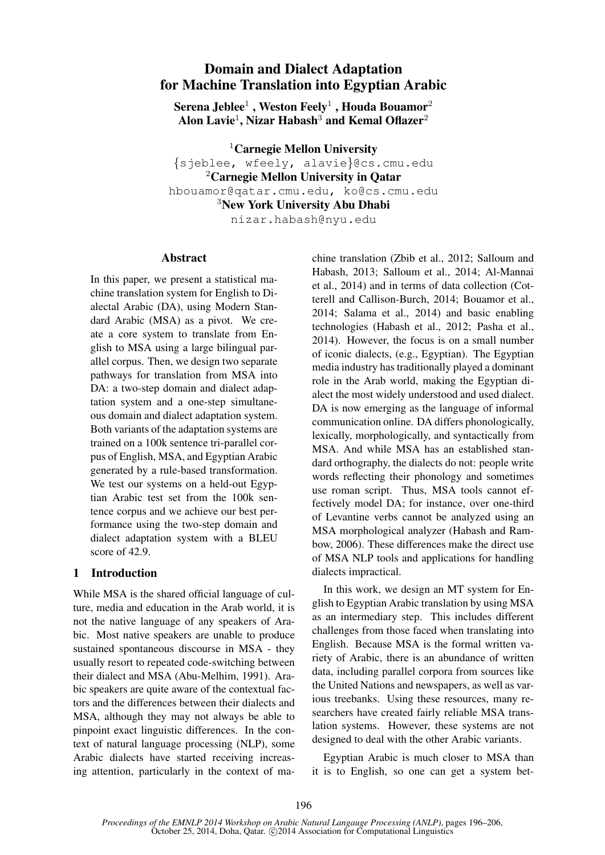# Domain and Dialect Adaptation for Machine Translation into Egyptian Arabic

Serena Jeblee $^1$  , Weston Feely $^1$  , Houda Bouamor $^2$ Alon Lavie<sup>1</sup>, Nizar Habash<sup>3</sup> and Kemal Oflazer<sup>2</sup>

<sup>1</sup>Carnegie Mellon University

{sjeblee, wfeely, alavie}@cs.cmu.edu <sup>2</sup>Carnegie Mellon University in Qatar hbouamor@qatar.cmu.edu, ko@cs.cmu.edu

<sup>3</sup>New York University Abu Dhabi

nizar.habash@nyu.edu

#### **Abstract**

In this paper, we present a statistical machine translation system for English to Dialectal Arabic (DA), using Modern Standard Arabic (MSA) as a pivot. We create a core system to translate from English to MSA using a large bilingual parallel corpus. Then, we design two separate pathways for translation from MSA into DA: a two-step domain and dialect adaptation system and a one-step simultaneous domain and dialect adaptation system. Both variants of the adaptation systems are trained on a 100k sentence tri-parallel corpus of English, MSA, and Egyptian Arabic generated by a rule-based transformation. We test our systems on a held-out Egyptian Arabic test set from the 100k sentence corpus and we achieve our best performance using the two-step domain and dialect adaptation system with a BLEU score of 42.9.

## 1 Introduction

While MSA is the shared official language of culture, media and education in the Arab world, it is not the native language of any speakers of Arabic. Most native speakers are unable to produce sustained spontaneous discourse in MSA - they usually resort to repeated code-switching between their dialect and MSA (Abu-Melhim, 1991). Arabic speakers are quite aware of the contextual factors and the differences between their dialects and MSA, although they may not always be able to pinpoint exact linguistic differences. In the context of natural language processing (NLP), some Arabic dialects have started receiving increasing attention, particularly in the context of machine translation (Zbib et al., 2012; Salloum and Habash, 2013; Salloum et al., 2014; Al-Mannai et al., 2014) and in terms of data collection (Cotterell and Callison-Burch, 2014; Bouamor et al., 2014; Salama et al., 2014) and basic enabling technologies (Habash et al., 2012; Pasha et al., 2014). However, the focus is on a small number of iconic dialects, (e.g., Egyptian). The Egyptian media industry has traditionally played a dominant role in the Arab world, making the Egyptian dialect the most widely understood and used dialect. DA is now emerging as the language of informal communication online. DA differs phonologically, lexically, morphologically, and syntactically from MSA. And while MSA has an established standard orthography, the dialects do not: people write words reflecting their phonology and sometimes use roman script. Thus, MSA tools cannot effectively model DA; for instance, over one-third of Levantine verbs cannot be analyzed using an MSA morphological analyzer (Habash and Rambow, 2006). These differences make the direct use of MSA NLP tools and applications for handling dialects impractical.

In this work, we design an MT system for English to Egyptian Arabic translation by using MSA as an intermediary step. This includes different challenges from those faced when translating into English. Because MSA is the formal written variety of Arabic, there is an abundance of written data, including parallel corpora from sources like the United Nations and newspapers, as well as various treebanks. Using these resources, many researchers have created fairly reliable MSA translation systems. However, these systems are not designed to deal with the other Arabic variants.

Egyptian Arabic is much closer to MSA than it is to English, so one can get a system bet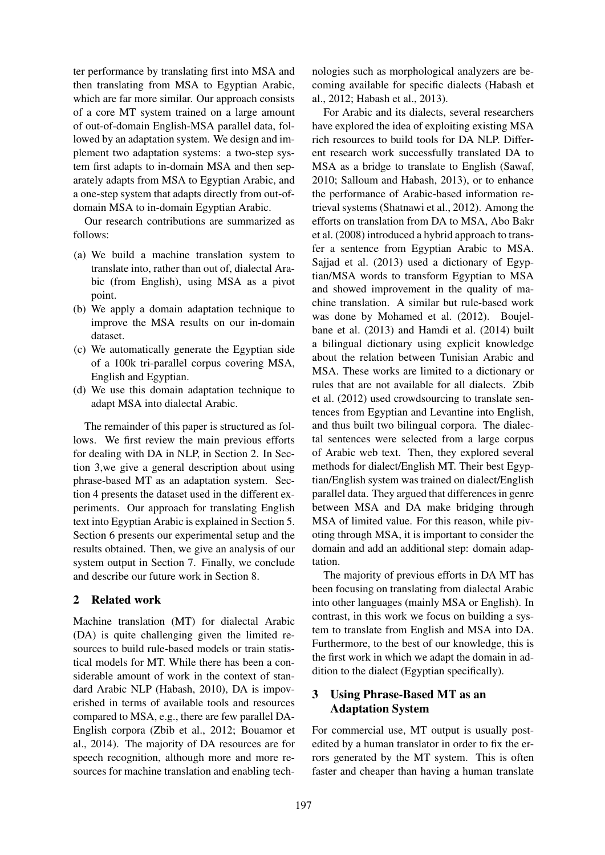ter performance by translating first into MSA and then translating from MSA to Egyptian Arabic, which are far more similar. Our approach consists of a core MT system trained on a large amount of out-of-domain English-MSA parallel data, followed by an adaptation system. We design and implement two adaptation systems: a two-step system first adapts to in-domain MSA and then separately adapts from MSA to Egyptian Arabic, and a one-step system that adapts directly from out-ofdomain MSA to in-domain Egyptian Arabic.

Our research contributions are summarized as follows:

- (a) We build a machine translation system to translate into, rather than out of, dialectal Arabic (from English), using MSA as a pivot point.
- (b) We apply a domain adaptation technique to improve the MSA results on our in-domain dataset.
- (c) We automatically generate the Egyptian side of a 100k tri-parallel corpus covering MSA, English and Egyptian.
- (d) We use this domain adaptation technique to adapt MSA into dialectal Arabic.

The remainder of this paper is structured as follows. We first review the main previous efforts for dealing with DA in NLP, in Section 2. In Section 3,we give a general description about using phrase-based MT as an adaptation system. Section 4 presents the dataset used in the different experiments. Our approach for translating English text into Egyptian Arabic is explained in Section 5. Section 6 presents our experimental setup and the results obtained. Then, we give an analysis of our system output in Section 7. Finally, we conclude and describe our future work in Section 8.

## 2 Related work

Machine translation (MT) for dialectal Arabic (DA) is quite challenging given the limited resources to build rule-based models or train statistical models for MT. While there has been a considerable amount of work in the context of standard Arabic NLP (Habash, 2010), DA is impoverished in terms of available tools and resources compared to MSA, e.g., there are few parallel DA-English corpora (Zbib et al., 2012; Bouamor et al., 2014). The majority of DA resources are for speech recognition, although more and more resources for machine translation and enabling technologies such as morphological analyzers are becoming available for specific dialects (Habash et al., 2012; Habash et al., 2013).

For Arabic and its dialects, several researchers have explored the idea of exploiting existing MSA rich resources to build tools for DA NLP. Different research work successfully translated DA to MSA as a bridge to translate to English (Sawaf, 2010; Salloum and Habash, 2013), or to enhance the performance of Arabic-based information retrieval systems (Shatnawi et al., 2012). Among the efforts on translation from DA to MSA, Abo Bakr et al. (2008) introduced a hybrid approach to transfer a sentence from Egyptian Arabic to MSA. Sajjad et al. (2013) used a dictionary of Egyptian/MSA words to transform Egyptian to MSA and showed improvement in the quality of machine translation. A similar but rule-based work was done by Mohamed et al. (2012). Boujelbane et al. (2013) and Hamdi et al. (2014) built a bilingual dictionary using explicit knowledge about the relation between Tunisian Arabic and MSA. These works are limited to a dictionary or rules that are not available for all dialects. Zbib et al. (2012) used crowdsourcing to translate sentences from Egyptian and Levantine into English, and thus built two bilingual corpora. The dialectal sentences were selected from a large corpus of Arabic web text. Then, they explored several methods for dialect/English MT. Their best Egyptian/English system was trained on dialect/English parallel data. They argued that differences in genre between MSA and DA make bridging through MSA of limited value. For this reason, while pivoting through MSA, it is important to consider the domain and add an additional step: domain adaptation.

The majority of previous efforts in DA MT has been focusing on translating from dialectal Arabic into other languages (mainly MSA or English). In contrast, in this work we focus on building a system to translate from English and MSA into DA. Furthermore, to the best of our knowledge, this is the first work in which we adapt the domain in addition to the dialect (Egyptian specifically).

# 3 Using Phrase-Based MT as an Adaptation System

For commercial use, MT output is usually postedited by a human translator in order to fix the errors generated by the MT system. This is often faster and cheaper than having a human translate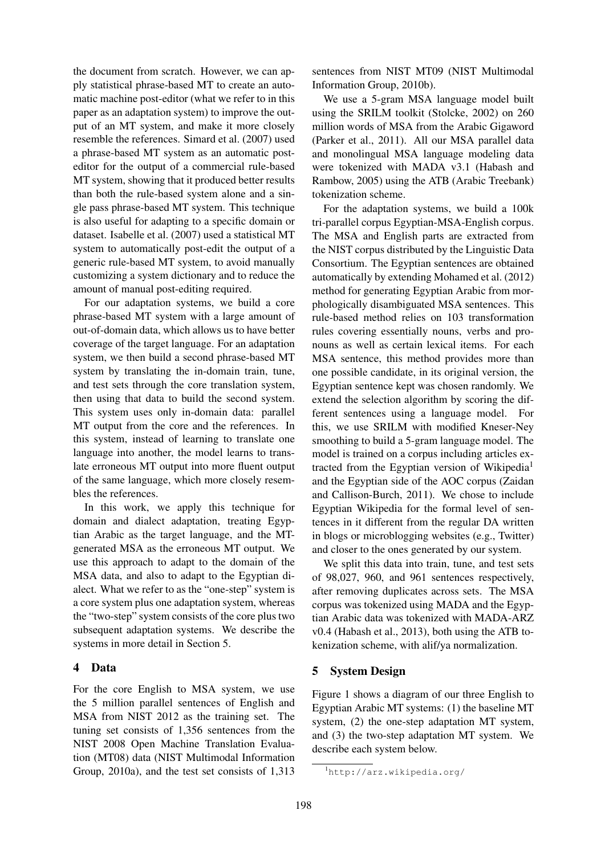the document from scratch. However, we can apply statistical phrase-based MT to create an automatic machine post-editor (what we refer to in this paper as an adaptation system) to improve the output of an MT system, and make it more closely resemble the references. Simard et al. (2007) used a phrase-based MT system as an automatic posteditor for the output of a commercial rule-based MT system, showing that it produced better results than both the rule-based system alone and a single pass phrase-based MT system. This technique is also useful for adapting to a specific domain or dataset. Isabelle et al. (2007) used a statistical MT system to automatically post-edit the output of a generic rule-based MT system, to avoid manually customizing a system dictionary and to reduce the amount of manual post-editing required.

For our adaptation systems, we build a core phrase-based MT system with a large amount of out-of-domain data, which allows us to have better coverage of the target language. For an adaptation system, we then build a second phrase-based MT system by translating the in-domain train, tune, and test sets through the core translation system, then using that data to build the second system. This system uses only in-domain data: parallel MT output from the core and the references. In this system, instead of learning to translate one language into another, the model learns to translate erroneous MT output into more fluent output of the same language, which more closely resembles the references.

In this work, we apply this technique for domain and dialect adaptation, treating Egyptian Arabic as the target language, and the MTgenerated MSA as the erroneous MT output. We use this approach to adapt to the domain of the MSA data, and also to adapt to the Egyptian dialect. What we refer to as the "one-step" system is a core system plus one adaptation system, whereas the "two-step" system consists of the core plus two subsequent adaptation systems. We describe the systems in more detail in Section 5.

## 4 Data

For the core English to MSA system, we use the 5 million parallel sentences of English and MSA from NIST 2012 as the training set. The tuning set consists of 1,356 sentences from the NIST 2008 Open Machine Translation Evaluation (MT08) data (NIST Multimodal Information Group, 2010a), and the test set consists of 1,313

sentences from NIST MT09 (NIST Multimodal Information Group, 2010b).

We use a 5-gram MSA language model built using the SRILM toolkit (Stolcke, 2002) on 260 million words of MSA from the Arabic Gigaword (Parker et al., 2011). All our MSA parallel data and monolingual MSA language modeling data were tokenized with MADA v3.1 (Habash and Rambow, 2005) using the ATB (Arabic Treebank) tokenization scheme.

For the adaptation systems, we build a 100k tri-parallel corpus Egyptian-MSA-English corpus. The MSA and English parts are extracted from the NIST corpus distributed by the Linguistic Data Consortium. The Egyptian sentences are obtained automatically by extending Mohamed et al. (2012) method for generating Egyptian Arabic from morphologically disambiguated MSA sentences. This rule-based method relies on 103 transformation rules covering essentially nouns, verbs and pronouns as well as certain lexical items. For each MSA sentence, this method provides more than one possible candidate, in its original version, the Egyptian sentence kept was chosen randomly. We extend the selection algorithm by scoring the different sentences using a language model. For this, we use SRILM with modified Kneser-Ney smoothing to build a 5-gram language model. The model is trained on a corpus including articles extracted from the Egyptian version of Wikipedia<sup>1</sup> and the Egyptian side of the AOC corpus (Zaidan and Callison-Burch, 2011). We chose to include Egyptian Wikipedia for the formal level of sentences in it different from the regular DA written in blogs or microblogging websites (e.g., Twitter) and closer to the ones generated by our system.

We split this data into train, tune, and test sets of 98,027, 960, and 961 sentences respectively, after removing duplicates across sets. The MSA corpus was tokenized using MADA and the Egyptian Arabic data was tokenized with MADA-ARZ v0.4 (Habash et al., 2013), both using the ATB tokenization scheme, with alif/ya normalization.

## 5 System Design

Figure 1 shows a diagram of our three English to Egyptian Arabic MT systems: (1) the baseline MT system, (2) the one-step adaptation MT system, and (3) the two-step adaptation MT system. We describe each system below.

<sup>1</sup>http://arz.wikipedia.org/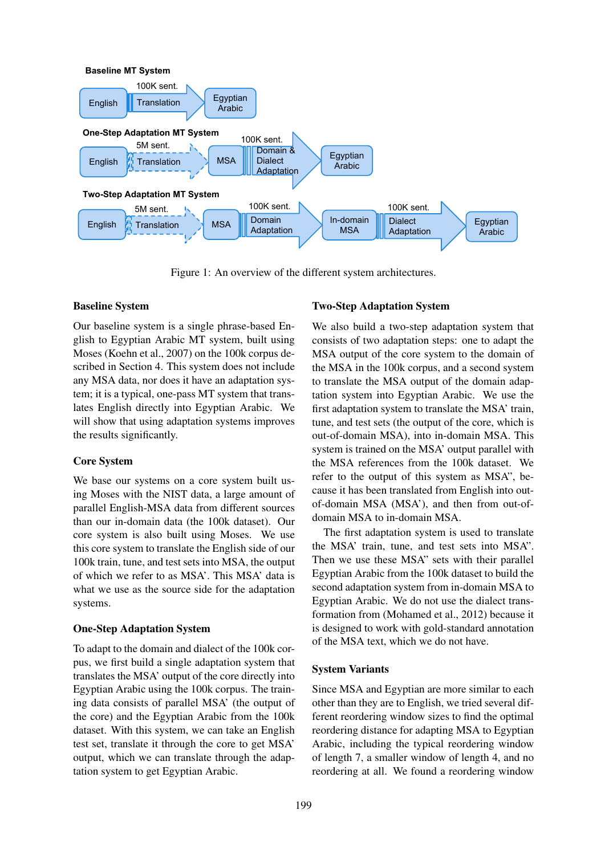

Figure 1: An overview of the different system architectures.

### Baseline System

Our baseline system is a single phrase-based English to Egyptian Arabic MT system, built using Moses (Koehn et al., 2007) on the 100k corpus described in Section 4. This system does not include any MSA data, nor does it have an adaptation system; it is a typical, one-pass MT system that translates English directly into Egyptian Arabic. We will show that using adaptation systems improves the results significantly.

## Core System

We base our systems on a core system built using Moses with the NIST data, a large amount of parallel English-MSA data from different sources than our in-domain data (the 100k dataset). Our core system is also built using Moses. We use this core system to translate the English side of our 100k train, tune, and test sets into MSA, the output of which we refer to as MSA'. This MSA' data is what we use as the source side for the adaptation systems.

## One-Step Adaptation System

To adapt to the domain and dialect of the 100k corpus, we first build a single adaptation system that translates the MSA' output of the core directly into Egyptian Arabic using the 100k corpus. The training data consists of parallel MSA' (the output of the core) and the Egyptian Arabic from the 100k dataset. With this system, we can take an English test set, translate it through the core to get MSA' output, which we can translate through the adaptation system to get Egyptian Arabic.

## Two-Step Adaptation System

We also build a two-step adaptation system that consists of two adaptation steps: one to adapt the MSA output of the core system to the domain of the MSA in the 100k corpus, and a second system to translate the MSA output of the domain adaptation system into Egyptian Arabic. We use the first adaptation system to translate the MSA' train, tune, and test sets (the output of the core, which is out-of-domain MSA), into in-domain MSA. This system is trained on the MSA' output parallel with the MSA references from the 100k dataset. We refer to the output of this system as MSA", because it has been translated from English into outof-domain MSA (MSA'), and then from out-ofdomain MSA to in-domain MSA.

The first adaptation system is used to translate the MSA' train, tune, and test sets into MSA". Then we use these MSA" sets with their parallel Egyptian Arabic from the 100k dataset to build the second adaptation system from in-domain MSA to Egyptian Arabic. We do not use the dialect transformation from (Mohamed et al., 2012) because it is designed to work with gold-standard annotation of the MSA text, which we do not have.

## System Variants

Since MSA and Egyptian are more similar to each other than they are to English, we tried several different reordering window sizes to find the optimal reordering distance for adapting MSA to Egyptian Arabic, including the typical reordering window of length 7, a smaller window of length 4, and no reordering at all. We found a reordering window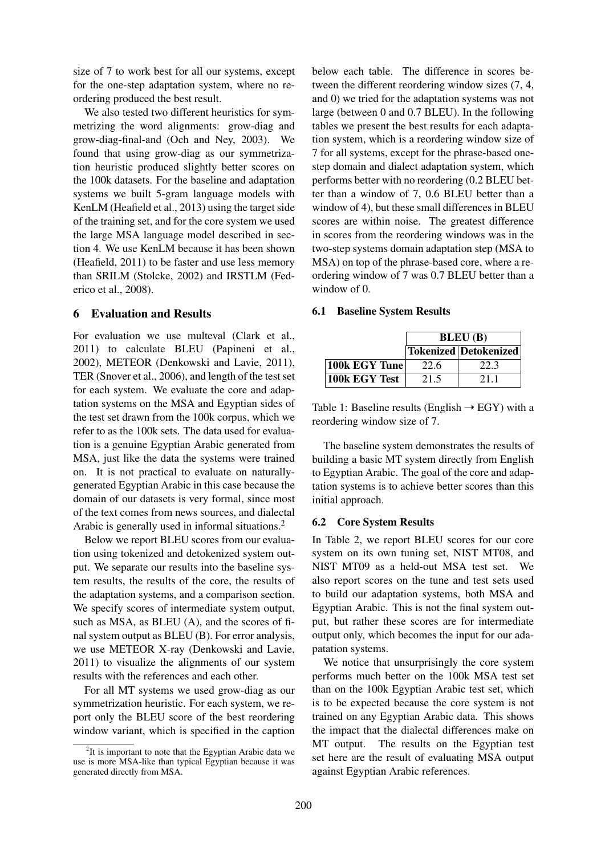size of 7 to work best for all our systems, except for the one-step adaptation system, where no reordering produced the best result.

We also tested two different heuristics for symmetrizing the word alignments: grow-diag and grow-diag-final-and (Och and Ney, 2003). We found that using grow-diag as our symmetrization heuristic produced slightly better scores on the 100k datasets. For the baseline and adaptation systems we built 5-gram language models with KenLM (Heafield et al., 2013) using the target side of the training set, and for the core system we used the large MSA language model described in section 4. We use KenLM because it has been shown (Heafield, 2011) to be faster and use less memory than SRILM (Stolcke, 2002) and IRSTLM (Federico et al., 2008).

#### 6 Evaluation and Results

For evaluation we use multeval (Clark et al., 2011) to calculate BLEU (Papineni et al., 2002), METEOR (Denkowski and Lavie, 2011), TER (Snover et al., 2006), and length of the test set for each system. We evaluate the core and adaptation systems on the MSA and Egyptian sides of the test set drawn from the 100k corpus, which we refer to as the 100k sets. The data used for evaluation is a genuine Egyptian Arabic generated from MSA, just like the data the systems were trained on. It is not practical to evaluate on naturallygenerated Egyptian Arabic in this case because the domain of our datasets is very formal, since most of the text comes from news sources, and dialectal Arabic is generally used in informal situations.<sup>2</sup>

Below we report BLEU scores from our evaluation using tokenized and detokenized system output. We separate our results into the baseline system results, the results of the core, the results of the adaptation systems, and a comparison section. We specify scores of intermediate system output, such as MSA, as BLEU (A), and the scores of final system output as BLEU (B). For error analysis, we use METEOR X-ray (Denkowski and Lavie, 2011) to visualize the alignments of our system results with the references and each other.

For all MT systems we used grow-diag as our symmetrization heuristic. For each system, we report only the BLEU score of the best reordering window variant, which is specified in the caption below each table. The difference in scores between the different reordering window sizes (7, 4, and 0) we tried for the adaptation systems was not large (between 0 and 0.7 BLEU). In the following tables we present the best results for each adaptation system, which is a reordering window size of 7 for all systems, except for the phrase-based onestep domain and dialect adaptation system, which performs better with no reordering (0.2 BLEU better than a window of 7, 0.6 BLEU better than a window of 4), but these small differences in BLEU scores are within noise. The greatest difference in scores from the reordering windows was in the two-step systems domain adaptation step (MSA to MSA) on top of the phrase-based core, where a reordering window of 7 was 0.7 BLEU better than a window of 0.

#### 6.1 Baseline System Results

|                  | <b>BLEU</b> (B) |                       |  |  |
|------------------|-----------------|-----------------------|--|--|
|                  |                 | Tokenized Detokenized |  |  |
| $ 100k$ EGY Tune | 22.6            | 22.3                  |  |  |
| $ 100k$ EGY Test | 21.5            | 2.1 1                 |  |  |

Table 1: Baseline results (English  $\rightarrow$  EGY) with a reordering window size of 7.

The baseline system demonstrates the results of building a basic MT system directly from English to Egyptian Arabic. The goal of the core and adaptation systems is to achieve better scores than this initial approach.

#### 6.2 Core System Results

In Table 2, we report BLEU scores for our core system on its own tuning set, NIST MT08, and NIST MT09 as a held-out MSA test set. We also report scores on the tune and test sets used to build our adaptation systems, both MSA and Egyptian Arabic. This is not the final system output, but rather these scores are for intermediate output only, which becomes the input for our adapatation systems.

We notice that unsurprisingly the core system performs much better on the 100k MSA test set than on the 100k Egyptian Arabic test set, which is to be expected because the core system is not trained on any Egyptian Arabic data. This shows the impact that the dialectal differences make on MT output. The results on the Egyptian test set here are the result of evaluating MSA output against Egyptian Arabic references.

 $2$ It is important to note that the Egyptian Arabic data we use is more MSA-like than typical Egyptian because it was generated directly from MSA.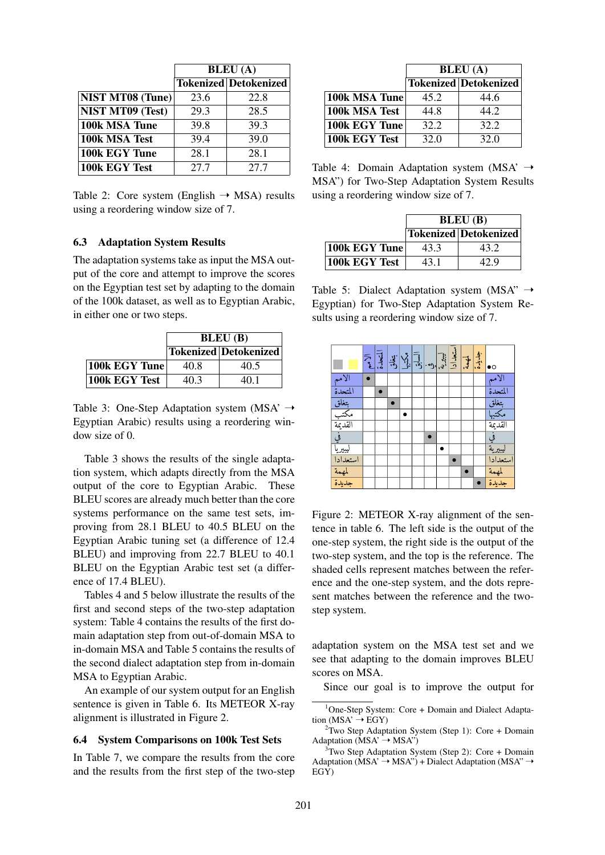|                         |      | <b>BLEU</b> (A)              |
|-------------------------|------|------------------------------|
|                         |      | <b>Tokenized Detokenized</b> |
| <b>NIST MT08 (Tune)</b> | 23.6 | 22.8                         |
| <b>NIST MT09 (Test)</b> | 29.3 | 28.5                         |
| 100k MSA Tune           | 39.8 | 39.3                         |
| 100k MSA Test           | 39.4 | 39.0                         |
| 100k EGY Tune           | 28.1 | 28.1                         |
| 100k EGY Test           | 27.7 | 27.7                         |

Table 2: Core system (English  $\rightarrow$  MSA) results using a reordering window size of 7.

#### 6.3 Adaptation System Results

The adaptation systems take as input the MSA output of the core and attempt to improve the scores on the Egyptian test set by adapting to the domain of the 100k dataset, as well as to Egyptian Arabic, in either one or two steps.

|               | <b>BLEU</b> (B) |                       |  |  |  |
|---------------|-----------------|-----------------------|--|--|--|
|               |                 | Tokenized Detokenized |  |  |  |
| 100k EGY Tune | 40.8            | 40.5                  |  |  |  |
| 100k EGY Test | 40.3            | 40 1                  |  |  |  |

Table 3: One-Step Adaptation system (MSA'  $\rightarrow$ Egyptian Arabic) results using a reordering window size of 0.

Table 3 shows the results of the single adaptation system, which adapts directly from the MSA output of the core to Egyptian Arabic. These BLEU scores are already much better than the core systems performance on the same test sets, improving from 28.1 BLEU to 40.5 BLEU on the Egyptian Arabic tuning set (a difference of 12.4 BLEU) and improving from 22.7 BLEU to 40.1 BLEU on the Egyptian Arabic test set (a difference of 17.4 BLEU).

Tables 4 and 5 below illustrate the results of the first and second steps of the two-step adaptation system: Table 4 contains the results of the first domain adaptation step from out-of-domain MSA to in-domain MSA and Table 5 contains the results of the second dialect adaptation step from in-domain MSA to Egyptian Arabic.

An example of our system output for an English sentence is given in Table 6. Its METEOR X-ray alignment is illustrated in Figure 2.

#### 6.4 System Comparisons on 100k Test Sets

In Table 7, we compare the results from the core and the results from the first step of the two-step

|               | <b>BLEU</b> (A) |                              |  |
|---------------|-----------------|------------------------------|--|
|               |                 | <b>Tokenized Detokenized</b> |  |
| 100k MSA Tune | 45.2            | 44.6                         |  |
| 100k MSA Test | 44.8            | 44.2                         |  |
| 100k EGY Tune | 32.2            | 32.2                         |  |
| 100k EGY Test | 32.0            | 32.0                         |  |

Table 4: Domain Adaptation system (MSA'  $\rightarrow$ MSA") for Two-Step Adaptation System Results using a reordering window size of 7.

|                  | <b>BLEU</b> (B) |                       |  |  |
|------------------|-----------------|-----------------------|--|--|
|                  |                 | Tokenized Detokenized |  |  |
| $ 100k$ EGY Tune | 43.3            | 43.2                  |  |  |
| 100k EGY Test    | 43.1            | 42.9                  |  |  |

Table 5: Dialect Adaptation system (MSA"  $\rightarrow$ Egyptian) for Two-Step Adaptation System Results using a reordering window size of 7.

|                           | الا الہام<br>دوالہ |  | $\frac{\sqrt{3}}{2}$ |  | ستعدادا | $\frac{1}{2}$ | جديدة | $\bullet$ o                           |
|---------------------------|--------------------|--|----------------------|--|---------|---------------|-------|---------------------------------------|
| الامم                     |                    |  |                      |  |         |               |       | الأمم                                 |
| المتحدة                   |                    |  |                      |  |         |               |       | المتحدة                               |
| بتغلق<br>مكتب<br>القديمة  |                    |  |                      |  |         |               |       | بتغلق<br>مكتبها<br>القديمة            |
|                           |                    |  |                      |  |         |               |       |                                       |
|                           |                    |  |                      |  |         |               |       |                                       |
| قي<br>ليبيريا<br>استعدادا |                    |  |                      |  |         |               |       | $\frac{1}{\frac{1}{2}}$ $\frac{1}{2}$ |
|                           |                    |  |                      |  |         |               |       |                                       |
|                           |                    |  |                      |  |         |               |       | استعدادا                              |
| لمهمة<br>جديدة            |                    |  |                      |  |         |               |       | لمهمة                                 |
|                           |                    |  |                      |  |         |               |       | جديدة                                 |

Figure 2: METEOR X-ray alignment of the sentence in table 6. The left side is the output of the one-step system, the right side is the output of the two-step system, and the top is the reference. The shaded cells represent matches between the reference and the one-step system, and the dots represent matches between the reference and the twostep system.

adaptation system on the MSA test set and we see that adapting to the domain improves BLEU scores on MSA.

Since our goal is to improve the output for

 $1$ One-Step System: Core + Domain and Dialect Adaptation ( $MSA' \rightarrow EGY$ )

<sup>&</sup>lt;sup>2</sup>Two Step Adaptation System (Step 1): Core + Domain Adaptation ( $MSA' \rightarrow MSA''$ )

 $3$ Two Step Adaptation System (Step 2): Core + Domain Adaptation ( $\overrightarrow{MSA'} \rightarrow \overrightarrow{MSA''}$ ) + Dialect Adaptation ( $\overrightarrow{MSA''} \rightarrow$ EGY)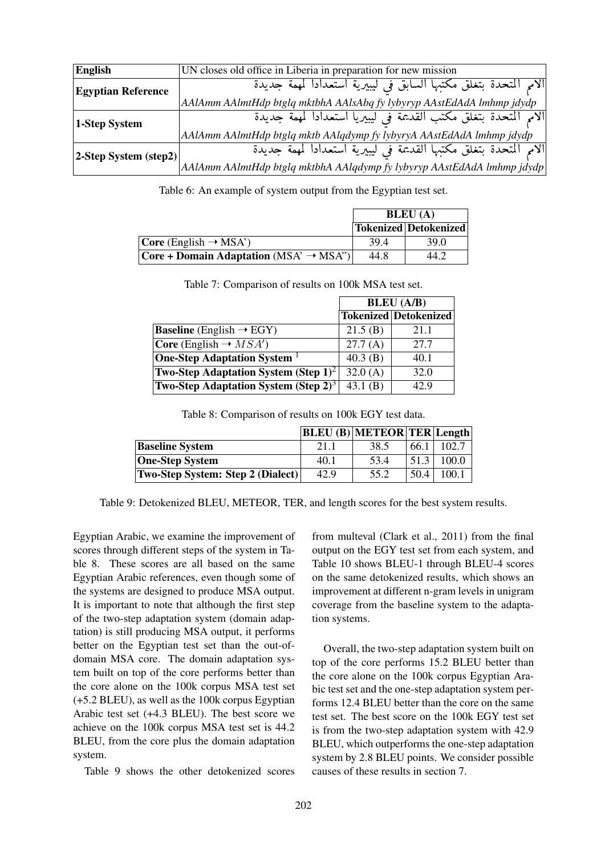| <b>English</b>            | UN closes old office in Liberia in preparation for new mission                                       |
|---------------------------|------------------------------------------------------------------------------------------------------|
| <b>Egyptian Reference</b> | الامم المتحدة بتغلق مكتبها السابق في ليبيرية استعدادا لمهمة جديدة                                    |
|                           | AAlAmm AAlmtHdp btglq mktbhA AAlsAbq fy lybyryp AAstEdAdA lmhmp jdydp                                |
| 1-Step System             | الامم المتحدة بتغلق مكتب القديمة في ليبيريا استعدادا لمهمة جديدة                                     |
|                           | AAlAmm AAlmtHdp btglq mktb AAlqdymp fy lybyryA AAstEdAdA lmhmp jdydp                                 |
| 2-Step System (step2)     | الامم المتحدة بتغلق مكتبها القديمة في ليبيرية استعدادا لمهمة جديدة                                   |
|                           | $ AA Amm\,Al$ mtH $dp$ btgl $q$ mktbh $A$ AAl $q$ dymp fy lybyryp $A$ AstEd $A$ d $A$ lmhmp j $dydp$ |

Table 6: An example of system output from the Egyptian test set.

|                                                        | <b>BLEU</b> (A) |                       |  |
|--------------------------------------------------------|-----------------|-----------------------|--|
|                                                        |                 | Tokenized Detokenized |  |
| $ Core (English \rightarrow MSA')$                     | 394             | 39.0                  |  |
| $ Core + Domain$ Adaptation (MSA' $\rightarrow$ MSA'') | 44.8            | 44.2                  |  |

Table 7: Comparison of results on 100k MSA test set.

|                                                         |            | <b>BLEU</b> (A/B)            |
|---------------------------------------------------------|------------|------------------------------|
|                                                         |            | <b>Tokenized Detokenized</b> |
| <b>Baseline</b> (English $\rightarrow$ EGY)             | 21.5(B)    | 21.1                         |
| <b>Core</b> (English $\rightarrow MSA'$ )               | 27.7(A)    | 27.7                         |
| <b>One-Step Adaptation System</b>                       | 40.3 $(B)$ | 40.1                         |
| <b>Two-Step Adaptation System (Step 1)<sup>2</sup></b>  | 32.0(A)    | 32.0                         |
| <b>Two-Step Adaptation System (Step 2)</b> <sup>3</sup> | 43.1 $(B)$ | 42.9                         |

Table 8: Comparison of results on 100k EGY test data.

|                                          |      | <b>BLEU</b> (B) METEOR TER Length |      |       |
|------------------------------------------|------|-----------------------------------|------|-------|
| <b>Baseline System</b>                   | 21.1 | 38.5                              | 66.1 | 102.7 |
| <b>One-Step System</b>                   | 40.1 | 53.4                              | 51.3 | 100.0 |
| <b>Two-Step System: Step 2 (Dialect)</b> | 42.9 | 55.2                              | 50.4 | 100.1 |

Table 9: Detokenized BLEU, METEOR, TER, and length scores for the best system results.

Egyptian Arabic, we examine the improvement of scores through different steps of the system in Table 8. These scores are all based on the same Egyptian Arabic references, even though some of the systems are designed to produce MSA output. It is important to note that although the first step of the two-step adaptation system (domain adaptation) is still producing MSA output, it performs better on the Egyptian test set than the out-ofdomain MSA core. The domain adaptation system built on top of the core performs better than the core alone on the 100k corpus MSA test set (+5.2 BLEU), as well as the 100k corpus Egyptian Arabic test set (+4.3 BLEU). The best score we achieve on the 100k corpus MSA test set is 44.2 BLEU, from the core plus the domain adaptation system.

Table 9 shows the other detokenized scores

from multeval (Clark et al., 2011) from the final output on the EGY test set from each system, and Table 10 shows BLEU-1 through BLEU-4 scores on the same detokenized results, which shows an improvement at different n-gram levels in unigram coverage from the baseline system to the adaptation systems.

Overall, the two-step adaptation system built on top of the core performs 15.2 BLEU better than the core alone on the 100k corpus Egyptian Arabic test set and the one-step adaptation system performs 12.4 BLEU better than the core on the same test set. The best score on the 100k EGY test set is from the two-step adaptation system with 42.9 BLEU, which outperforms the one-step adaptation system by 2.8 BLEU points. We consider possible causes of these results in section 7.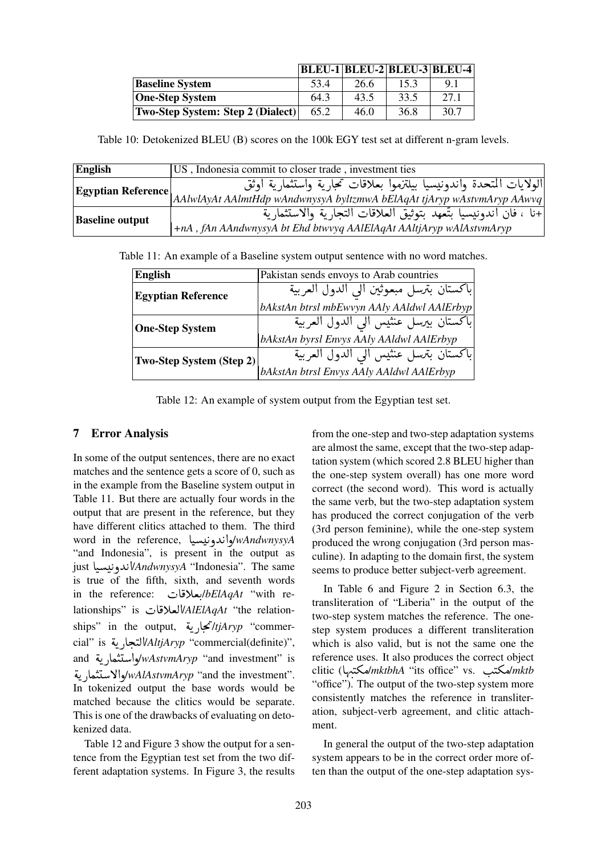|                                          | BLEU-1 BLEU-2 BLEU-3 BLEU-4 |      |      |      |
|------------------------------------------|-----------------------------|------|------|------|
| <b>Baseline System</b>                   | 53.4                        | 26.6 | 15.3 | 91   |
| <b>One-Step System</b>                   | 64.3                        | 43.5 | 33.5 | 27.1 |
| <b>Two-Step System: Step 2 (Dialect)</b> | 65.2                        | 46.0 | 36.8 | 30.7 |

Table 10: Detokenized BLEU (B) scores on the 100k EGY test set at different n-gram levels.

| English                | US, Indonesia commit to closer trade, investment ties                                                                                                            |
|------------------------|------------------------------------------------------------------------------------------------------------------------------------------------------------------|
|                        | الولايات المتحدة واندونيسيا بيلتزموا بعلاقات تحارية واستثمارية اوثق<br>Egyptian Reference AAlwlAyAt AAlmtHdp wAndwnysyA byltzmwA bElAqAt tjAryp wAstvmAryp AAwvq |
| <b>Baseline output</b> | +نا ، فان اندونيسيا بتَّعهد بتوثيق العلاقات التجارية والاستثمارية<br>+nA, fAn AAndwnysyA bt Ehd btwvyq AAlElAqAt AAltjAryp wAlAstvmAryp                          |

Table 11: An example of a Baseline system output sentence with no word matches.

| <b>English</b>            | Pakistan sends envoys to Arab countries    |
|---------------------------|--------------------------------------------|
| <b>Egyptian Reference</b> | باكستان بترسل مبعوثين الى الدول العربية    |
|                           | bAkstAn btrsl mbEwvyn AAly AAldwl AAlErbyp |
| <b>One-Step System</b>    | باكستان بيرسل عنثيس الى الدول العربية      |
|                           | bAkstAn byrsl Envys AAly AAldwl AAlErbyp   |
| Two-Step System (Step 2)  | باكستان بترسل عنثيس الى الدول العربية      |
|                           | bAkstAn btrsl Envys AAly AAldwl AAlErbyp   |

Table 12: An example of system output from the Egyptian test set.

# 7 Error Analysis

In some of the output sentences, there are no exact matches and the sentence gets a score of 0, such as in the example from the Baseline system output in Table 11. But there are actually four words in the output that are present in the reference, but they have different clitics attached to them. The third have different clitics attached to them. The third<br>word in the reference, لواندونیسیا  $\ddot{\cdot}$  $\overline{a}$ and Indonesia", is present in the output as<br>iust WAndwnysvA "Indonesia". The same and Indonesia, is present in the output as<br>just **Lucky** WandwnysyA "Indonesia". The same  $\overline{a}$ ֦֦֧֦֧֦֦֧֦֧֦֧֦֦֧ׅ֧֦֧ׅ֧֦֧ׅ֧֧ׅ֧ׅ֧֧֧֚֚֚֚֚֡֝֝֝֝֜֓֓֜֓֜֓֓֝֓֜֓֜֓֝֬֝֓ is true of the fifth, sixth, and seventh words is true of the fifth, sixth, and seventh words<br>in the reference: ابعلاقات: bElAqAt "with re- $\frac{1}{2}$ . lationships" is HA ¯CªË@/*AlElAqAt* "the relation-J -lationships" is العلاقات lationships" is العلاقات<br>hips" in the output, تجا<sub>ل</sub>ية *lijAryp* "commer-<u>ر</u> !<br>. ships" in the output, مجاريه *ttjAryp* "commer-<br>cial" is تنجارية (*AltjAryp* "commercial(definite)", <u>ر</u> .<br>. cial′ is *تج*اريه *vAltjAryp "commercial(definite)",*<br>and مواستثمارية and *jwAstvmAryp "*and investment" is ر<br>پ .<br>.<br>.  $\frac{1}{2}$ a<br>.. واسلنماريه w*AstvmAryp ``*and investment`` is*\wAlAstvmAryp ``*and the investment<br>:`and the investment'> اوالاستثمارية'' ر<br>پ  $\ddot{\cdot}$ <u>ب</u><br>. In tokenized output the base words would be matched because the clitics would be separate. This is one of the drawbacks of evaluating on detokenized data.

Table 12 and Figure 3 show the output for a sentence from the Egyptian test set from the two different adaptation systems. In Figure 3, the results from the one-step and two-step adaptation systems are almost the same, except that the two-step adaptation system (which scored 2.8 BLEU higher than the one-step system overall) has one more word correct (the second word). This word is actually the same verb, but the two-step adaptation system has produced the correct conjugation of the verb (3rd person feminine), while the one-step system produced the wrong conjugation (3rd person masculine). In adapting to the domain first, the system seems to produce better subject-verb agreement.

In Table 6 and Figure 2 in Section 6.3, the transliteration of "Liberia" in the output of the two-step system matches the reference. The onestep system produces a different transliteration which is also valid, but is not the same one the reference uses. It also produces the correct object clitic (کتنب) mktbhA "its office" vs. ایسکتنبا omktbhA "its office" vs. .  $\ddot{\ }$  $\ddot{ }$ "office"). The output of the two-step system more consistently matches the reference in transliteration, subject-verb agreement, and clitic attachment.

In general the output of the two-step adaptation system appears to be in the correct order more often than the output of the one-step adaptation sys-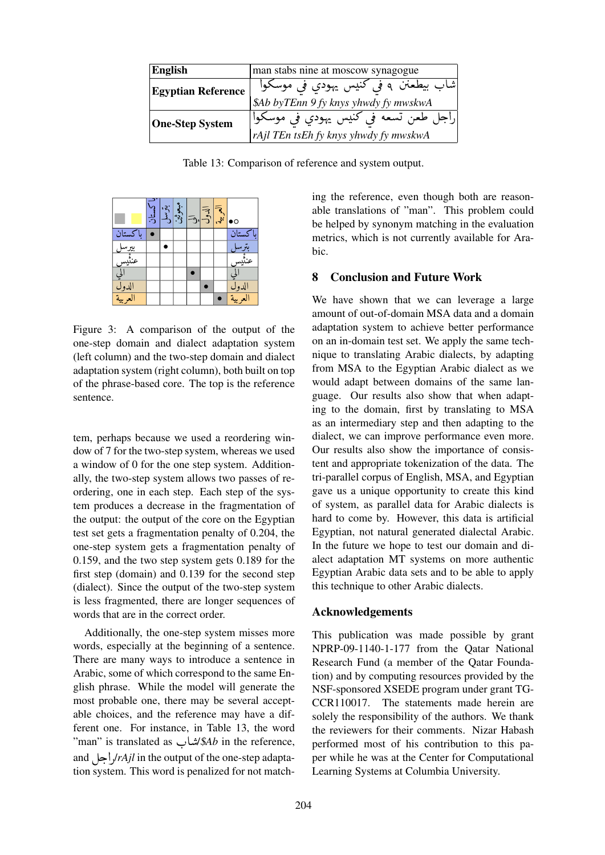| <b>English</b>            | man stabs nine at moscow synagogue                                             |
|---------------------------|--------------------------------------------------------------------------------|
| <b>Egyptian Reference</b> | شاب بيطعنن ۹ في كنيس يهودي في موسكوا<br>\$Ab byTEnn 9 fy knys yhwdy fy mwskwA  |
| <b>One-Step System</b>    | راجل طعن تسعه في كنيس يهودي في موسكوا<br>rAjl TEn tsEh fy knys yhwdy fy mwskwA |

Table 13: Comparison of reference and system output.



one-step domain and dialect adaptation system (left column) and the two-step domain and dialect  $\frac{1}{2}$   $\frac{1}{2}$   $\frac{1}{2}$   $\frac{1}{2}$   $\frac{1}{2}$   $\frac{1}{2}$   $\frac{1}{2}$   $\frac{1}{2}$ adaptation system (right column), both built on top Figure 3: A comparison of the output of the of the phrase-based core. The top is the reference sentence.

tem, perhaps because we used a reordering window of 7 for the two-step system, whereas we used a window of 0 for the one step system. Additionally, the two-step system allows two passes of reordering, one in each step. Each step of the system produces a decrease in the fragmentation of the output: the output of the core on the Egyptian test set gets a fragmentation penalty of 0.204, the one-step system gets a fragmentation penalty of 0.159, and the two step system gets 0.189 for the first step (domain) and 0.139 for the second step (dialect). Since the output of the two-step system is less fragmented, there are longer sequences of words that are in the correct order.

Additionally, the one-step system misses more words, especially at the beginning of a sentence. There are many ways to introduce a sentence in Arabic, some of which correspond to the same English phrase. While the model will generate the most probable one, there may be several acceptable choices, and the reference may have a different one. For instance, in Table 13, the word ferent one. For instance, in Table 13, the word<br>"man" is translated as  $\triangle$   $\triangle$   $\triangle$  in the reference, .<br>I and  $\mu r$ /*rAjl* in the output of the one-step adaptation system. This word is penalized for not match-

ing the reference, even though both are reasonable translations of "man". This problem could be helped by synonym matching in the evaluation metrics, which is not currently available for Arabic.

### 8 Conclusion and Future Work

We have shown that we can leverage a large amount of out-of-domain MSA data and a domain adaptation system to achieve better performance on an in-domain test set. We apply the same technique to translating Arabic dialects, by adapting from MSA to the Egyptian Arabic dialect as we would adapt between domains of the same language. Our results also show that when adapting to the domain, first by translating to MSA as an intermediary step and then adapting to the dialect, we can improve performance even more. Our results also show the importance of consistent and appropriate tokenization of the data. The tri-parallel corpus of English, MSA, and Egyptian gave us a unique opportunity to create this kind of system, as parallel data for Arabic dialects is hard to come by. However, this data is artificial Egyptian, not natural generated dialectal Arabic. In the future we hope to test our domain and dialect adaptation MT systems on more authentic Egyptian Arabic data sets and to be able to apply this technique to other Arabic dialects.

#### Acknowledgements

This publication was made possible by grant NPRP-09-1140-1-177 from the Qatar National Research Fund (a member of the Qatar Foundation) and by computing resources provided by the NSF-sponsored XSEDE program under grant TG-CCR110017. The statements made herein are solely the responsibility of the authors. We thank the reviewers for their comments. Nizar Habash performed most of his contribution to this paper while he was at the Center for Computational Learning Systems at Columbia University.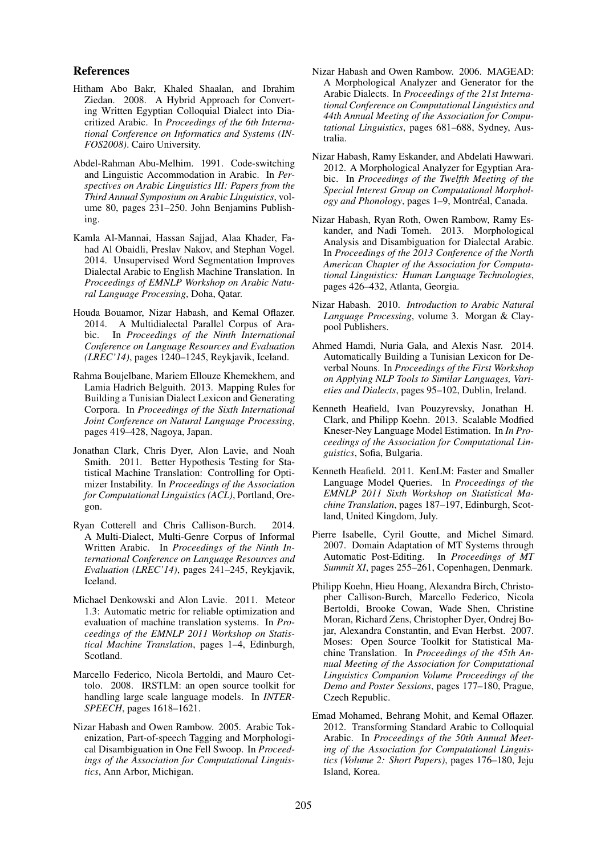#### References

- Hitham Abo Bakr, Khaled Shaalan, and Ibrahim Ziedan. 2008. A Hybrid Approach for Converting Written Egyptian Colloquial Dialect into Diacritized Arabic. In *Proceedings of the 6th International Conference on Informatics and Systems (IN-FOS2008)*. Cairo University.
- Abdel-Rahman Abu-Melhim. 1991. Code-switching and Linguistic Accommodation in Arabic. In *Perspectives on Arabic Linguistics III: Papers from the Third Annual Symposium on Arabic Linguistics*, volume 80, pages 231–250. John Benjamins Publishing.
- Kamla Al-Mannai, Hassan Sajjad, Alaa Khader, Fahad Al Obaidli, Preslav Nakov, and Stephan Vogel. 2014. Unsupervised Word Segmentation Improves Dialectal Arabic to English Machine Translation. In *Proceedings of EMNLP Workshop on Arabic Natural Language Processing*, Doha, Qatar.
- Houda Bouamor, Nizar Habash, and Kemal Oflazer. 2014. A Multidialectal Parallel Corpus of Arabic. In *Proceedings of the Ninth International Conference on Language Resources and Evaluation (LREC'14)*, pages 1240–1245, Reykjavik, Iceland.
- Rahma Boujelbane, Mariem Ellouze Khemekhem, and Lamia Hadrich Belguith. 2013. Mapping Rules for Building a Tunisian Dialect Lexicon and Generating Corpora. In *Proceedings of the Sixth International Joint Conference on Natural Language Processing*, pages 419–428, Nagoya, Japan.
- Jonathan Clark, Chris Dyer, Alon Lavie, and Noah Smith. 2011. Better Hypothesis Testing for Statistical Machine Translation: Controlling for Optimizer Instability. In *Proceedings of the Association for Computational Linguistics (ACL)*, Portland, Oregon.
- Ryan Cotterell and Chris Callison-Burch. 2014. A Multi-Dialect, Multi-Genre Corpus of Informal Written Arabic. In *Proceedings of the Ninth International Conference on Language Resources and Evaluation (LREC'14)*, pages 241–245, Reykjavik, Iceland.
- Michael Denkowski and Alon Lavie. 2011. Meteor 1.3: Automatic metric for reliable optimization and evaluation of machine translation systems. In *Proceedings of the EMNLP 2011 Workshop on Statistical Machine Translation*, pages 1–4, Edinburgh, Scotland.
- Marcello Federico, Nicola Bertoldi, and Mauro Cettolo. 2008. IRSTLM: an open source toolkit for handling large scale language models. In *INTER-SPEECH*, pages 1618–1621.
- Nizar Habash and Owen Rambow. 2005. Arabic Tokenization, Part-of-speech Tagging and Morphological Disambiguation in One Fell Swoop. In *Proceedings of the Association for Computational Linguistics*, Ann Arbor, Michigan.
- Nizar Habash and Owen Rambow. 2006. MAGEAD: A Morphological Analyzer and Generator for the Arabic Dialects. In *Proceedings of the 21st International Conference on Computational Linguistics and 44th Annual Meeting of the Association for Computational Linguistics*, pages 681–688, Sydney, Australia.
- Nizar Habash, Ramy Eskander, and Abdelati Hawwari. 2012. A Morphological Analyzer for Egyptian Arabic. In *Proceedings of the Twelfth Meeting of the Special Interest Group on Computational Morphology and Phonology*, pages 1–9, Montréal, Canada.
- Nizar Habash, Ryan Roth, Owen Rambow, Ramy Eskander, and Nadi Tomeh. 2013. Morphological Analysis and Disambiguation for Dialectal Arabic. In *Proceedings of the 2013 Conference of the North American Chapter of the Association for Computational Linguistics: Human Language Technologies*, pages 426–432, Atlanta, Georgia.
- Nizar Habash. 2010. *Introduction to Arabic Natural Language Processing*, volume 3. Morgan & Claypool Publishers.
- Ahmed Hamdi, Nuria Gala, and Alexis Nasr. 2014. Automatically Building a Tunisian Lexicon for Deverbal Nouns. In *Proceedings of the First Workshop on Applying NLP Tools to Similar Languages, Varieties and Dialects*, pages 95–102, Dublin, Ireland.
- Kenneth Heafield, Ivan Pouzyrevsky, Jonathan H. Clark, and Philipp Koehn. 2013. Scalable Modfied Kneser-Ney Language Model Estimation. In *In Proceedings of the Association for Computational Linguistics*, Sofia, Bulgaria.
- Kenneth Heafield. 2011. KenLM: Faster and Smaller Language Model Queries. In *Proceedings of the EMNLP 2011 Sixth Workshop on Statistical Machine Translation*, pages 187–197, Edinburgh, Scotland, United Kingdom, July.
- Pierre Isabelle, Cyril Goutte, and Michel Simard. 2007. Domain Adaptation of MT Systems through Automatic Post-Editing. In *Proceedings of MT Summit XI*, pages 255–261, Copenhagen, Denmark.
- Philipp Koehn, Hieu Hoang, Alexandra Birch, Christopher Callison-Burch, Marcello Federico, Nicola Bertoldi, Brooke Cowan, Wade Shen, Christine Moran, Richard Zens, Christopher Dyer, Ondrej Bojar, Alexandra Constantin, and Evan Herbst. 2007. Moses: Open Source Toolkit for Statistical Machine Translation. In *Proceedings of the 45th Annual Meeting of the Association for Computational Linguistics Companion Volume Proceedings of the Demo and Poster Sessions*, pages 177–180, Prague, Czech Republic.
- Emad Mohamed, Behrang Mohit, and Kemal Oflazer. 2012. Transforming Standard Arabic to Colloquial Arabic. In *Proceedings of the 50th Annual Meeting of the Association for Computational Linguistics (Volume 2: Short Papers)*, pages 176–180, Jeju Island, Korea.